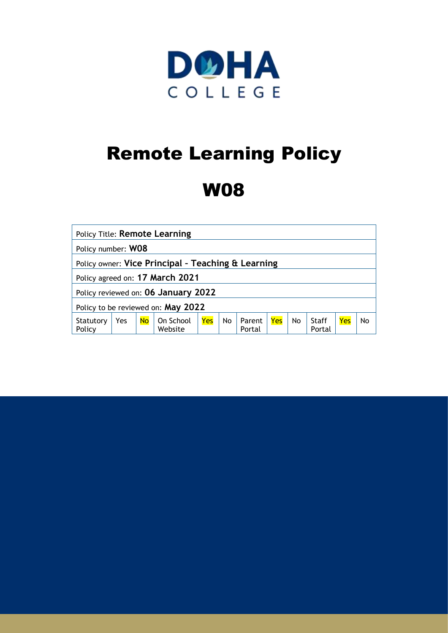

# Remote Learning Policy

# W08

| Policy Title: Remote Learning                      |     |           |                      |     |           |                  |     |           |                 |     |    |
|----------------------------------------------------|-----|-----------|----------------------|-----|-----------|------------------|-----|-----------|-----------------|-----|----|
| Policy number: WO8                                 |     |           |                      |     |           |                  |     |           |                 |     |    |
| Policy owner: Vice Principal - Teaching & Learning |     |           |                      |     |           |                  |     |           |                 |     |    |
| Policy agreed on: 17 March 2021                    |     |           |                      |     |           |                  |     |           |                 |     |    |
| Policy reviewed on: 06 January 2022                |     |           |                      |     |           |                  |     |           |                 |     |    |
| Policy to be reviewed on: May 2022                 |     |           |                      |     |           |                  |     |           |                 |     |    |
| Statutory<br>Policy                                | Yes | <b>No</b> | On School<br>Website | Yes | <b>No</b> | Parent<br>Portal | Yes | <b>No</b> | Staff<br>Portal | Yes | No |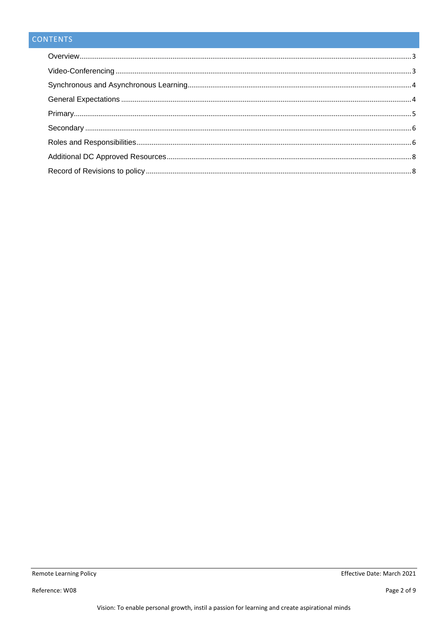## CONTENTS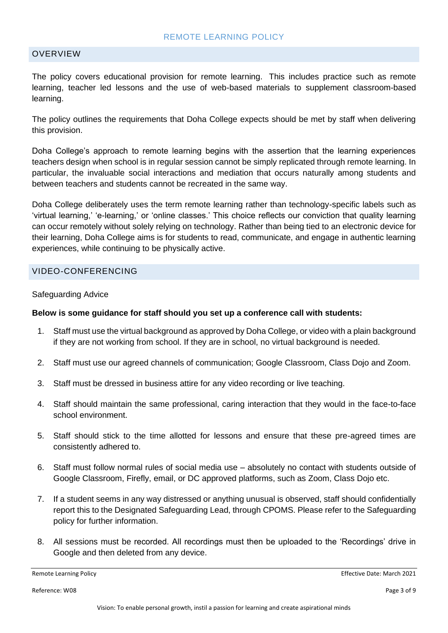#### REMOTE LEARNING POLICY

#### <span id="page-2-0"></span>**OVERVIEW**

The policy covers educational provision for remote learning. This includes practice such as remote learning, teacher led lessons and the use of web-based materials to supplement classroom-based learning.

The policy outlines the requirements that Doha College expects should be met by staff when delivering this provision.

Doha College's approach to remote learning begins with the assertion that the learning experiences teachers design when school is in regular session cannot be simply replicated through remote learning. In particular, the invaluable social interactions and mediation that occurs naturally among students and between teachers and students cannot be recreated in the same way.

Doha College deliberately uses the term remote learning rather than technology-specific labels such as 'virtual learning,' 'e-learning,' or 'online classes.' This choice reflects our conviction that quality learning can occur remotely without solely relying on technology. Rather than being tied to an electronic device for their learning, Doha College aims is for students to read, communicate, and engage in authentic learning experiences, while continuing to be physically active.

#### <span id="page-2-1"></span>VIDEO-CONFERENCING

#### Safeguarding Advice

#### **Below is some guidance for staff should you set up a conference call with students:**

- 1. Staff must use the virtual background as approved by Doha College, or video with a plain background if they are not working from school. If they are in school, no virtual background is needed.
- 2. Staff must use our agreed channels of communication; Google Classroom, Class Dojo and Zoom.
- 3. Staff must be dressed in business attire for any video recording or live teaching.
- 4. Staff should maintain the same professional, caring interaction that they would in the face-to-face school environment.
- 5. Staff should stick to the time allotted for lessons and ensure that these pre-agreed times are consistently adhered to.
- 6. Staff must follow normal rules of social media use absolutely no contact with students outside of Google Classroom, Firefly, email, or DC approved platforms, such as Zoom, Class Dojo etc.
- 7. If a student seems in any way distressed or anything unusual is observed, staff should confidentially report this to the Designated Safeguarding Lead, through CPOMS. Please refer to the Safeguarding policy for further information.
- 8. All sessions must be recorded. All recordings must then be uploaded to the 'Recordings' drive in Google and then deleted from any device.

Reference: W08 Page 3 of 9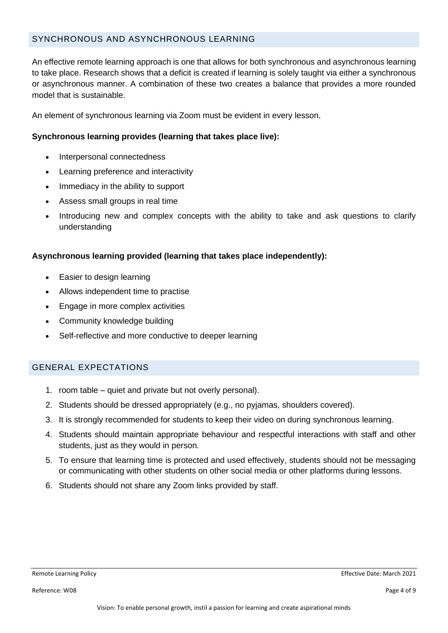#### <span id="page-3-0"></span>SYNCHRONOUS AND ASYNCHRONOUS LEARNING

An effective remote learning approach is one that allows for both synchronous and asynchronous learning to take place. Research shows that a deficit is created if learning is solely taught via either a synchronous or asynchronous manner. A combination of these two creates a balance that provides a more rounded model that is sustainable.

An element of synchronous learning via Zoom must be evident in every lesson.

#### **Synchronous learning provides (learning that takes place live):**

- Interpersonal connectedness
- Learning preference and interactivity
- Immediacy in the ability to support
- Assess small groups in real time
- Introducing new and complex concepts with the ability to take and ask questions to clarify understanding

#### **Asynchronous learning provided (learning that takes place independently):**

- Easier to design learning
- Allows independent time to practise
- Engage in more complex activities
- Community knowledge building
- Self-reflective and more conductive to deeper learning

#### <span id="page-3-1"></span>GENERAL EXPECTATIONS

- 1. room table quiet and private but not overly personal).
- 2. Students should be dressed appropriately (e.g., no pyjamas, shoulders covered).
- 3. It is strongly recommended for students to keep their video on during synchronous learning.
- 4. Students should maintain appropriate behaviour and respectful interactions with staff and other students, just as they would in person.
- 5. To ensure that learning time is protected and used effectively, students should not be messaging or communicating with other students on other social media or other platforms during lessons.
- 6. Students should not share any Zoom links provided by staff.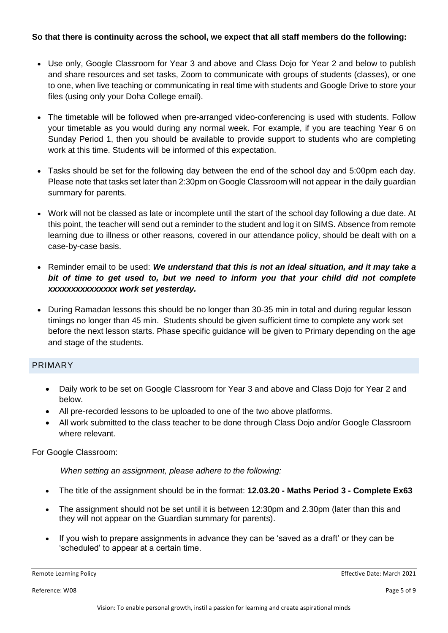#### **So that there is continuity across the school, we expect that all staff members do the following:**

- Use only, Google Classroom for Year 3 and above and Class Dojo for Year 2 and below to publish and share resources and set tasks, Zoom to communicate with groups of students (classes), or one to one, when live teaching or communicating in real time with students and Google Drive to store your files (using only your Doha College email).
- The timetable will be followed when pre-arranged video-conferencing is used with students. Follow your timetable as you would during any normal week. For example, if you are teaching Year 6 on Sunday Period 1, then you should be available to provide support to students who are completing work at this time. Students will be informed of this expectation.
- Tasks should be set for the following day between the end of the school day and 5:00pm each day. Please note that tasks set later than 2:30pm on Google Classroom will not appear in the daily guardian summary for parents.
- Work will not be classed as late or incomplete until the start of the school day following a due date. At this point, the teacher will send out a reminder to the student and log it on SIMS. Absence from remote learning due to illness or other reasons, covered in our attendance policy, should be dealt with on a case-by-case basis.
- Reminder email to be used: *We understand that this is not an ideal situation, and it may take a bit of time to get used to, but we need to inform you that your child did not complete xxxxxxxxxxxxxxx work set yesterday.*
- During Ramadan lessons this should be no longer than 30-35 min in total and during regular lesson timings no longer than 45 min. Students should be given sufficient time to complete any work set before the next lesson starts. Phase specific guidance will be given to Primary depending on the age and stage of the students.

#### <span id="page-4-0"></span>PRIMARY

- Daily work to be set on Google Classroom for Year 3 and above and Class Dojo for Year 2 and below.
- All pre-recorded lessons to be uploaded to one of the two above platforms.
- All work submitted to the class teacher to be done through Class Dojo and/or Google Classroom where relevant.

For Google Classroom:

*When setting an assignment, please adhere to the following:*

- The title of the assignment should be in the format: **12.03.20 - Maths Period 3 - Complete Ex63**
- The assignment should not be set until it is between 12:30pm and 2.30pm (later than this and they will not appear on the Guardian summary for parents).
- If you wish to prepare assignments in advance they can be 'saved as a draft' or they can be 'scheduled' to appear at a certain time.

Reference: W08 Page 5 of 9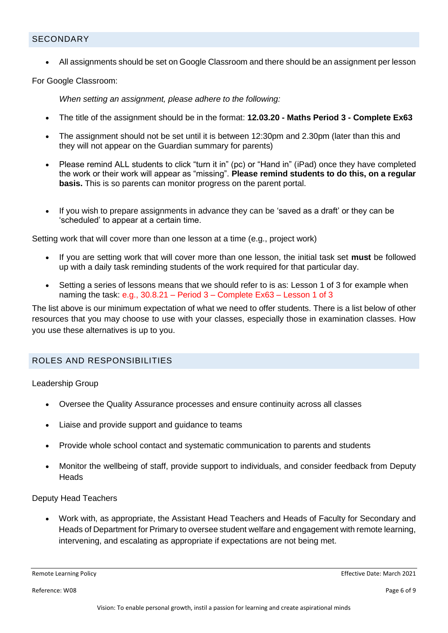#### <span id="page-5-0"></span>**SECONDARY**

• All assignments should be set on Google Classroom and there should be an assignment per lesson

For Google Classroom:

*When setting an assignment, please adhere to the following:*

- The title of the assignment should be in the format: **12.03.20 - Maths Period 3 - Complete Ex63**
- The assignment should not be set until it is between 12:30pm and 2.30pm (later than this and they will not appear on the Guardian summary for parents)
- Please remind ALL students to click "turn it in" (pc) or "Hand in" (iPad) once they have completed the work or their work will appear as "missing". **Please remind students to do this, on a regular basis.** This is so parents can monitor progress on the parent portal.
- If you wish to prepare assignments in advance they can be 'saved as a draft' or they can be 'scheduled' to appear at a certain time.

Setting work that will cover more than one lesson at a time (e.g., project work)

- If you are setting work that will cover more than one lesson, the initial task set **must** be followed up with a daily task reminding students of the work required for that particular day.
- Setting a series of lessons means that we should refer to is as: Lesson 1 of 3 for example when naming the task: e.g., 30.8.21 – Period 3 – Complete Ex63 – Lesson 1 of 3

The list above is our minimum expectation of what we need to offer students. There is a list below of other resources that you may choose to use with your classes, especially those in examination classes. How you use these alternatives is up to you.

#### <span id="page-5-1"></span>ROLES AND RESPONSIBILITIES

Leadership Group

- Oversee the Quality Assurance processes and ensure continuity across all classes
- Liaise and provide support and quidance to teams
- Provide whole school contact and systematic communication to parents and students
- Monitor the wellbeing of staff, provide support to individuals, and consider feedback from Deputy **Heads**

#### Deputy Head Teachers

• Work with, as appropriate, the Assistant Head Teachers and Heads of Faculty for Secondary and Heads of Department for Primary to oversee student welfare and engagement with remote learning, intervening, and escalating as appropriate if expectations are not being met.

Reference: W08 Page 6 of 9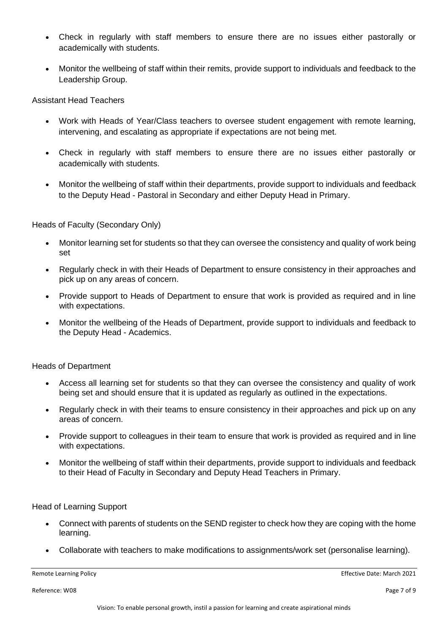- Check in regularly with staff members to ensure there are no issues either pastorally or academically with students.
- Monitor the wellbeing of staff within their remits, provide support to individuals and feedback to the Leadership Group.

Assistant Head Teachers

- Work with Heads of Year/Class teachers to oversee student engagement with remote learning, intervening, and escalating as appropriate if expectations are not being met.
- Check in regularly with staff members to ensure there are no issues either pastorally or academically with students.
- Monitor the wellbeing of staff within their departments, provide support to individuals and feedback to the Deputy Head - Pastoral in Secondary and either Deputy Head in Primary.

Heads of Faculty (Secondary Only)

- Monitor learning set for students so that they can oversee the consistency and quality of work being set
- Regularly check in with their Heads of Department to ensure consistency in their approaches and pick up on any areas of concern.
- Provide support to Heads of Department to ensure that work is provided as required and in line with expectations.
- Monitor the wellbeing of the Heads of Department, provide support to individuals and feedback to the Deputy Head - Academics.

Heads of Department

- Access all learning set for students so that they can oversee the consistency and quality of work being set and should ensure that it is updated as regularly as outlined in the expectations.
- Regularly check in with their teams to ensure consistency in their approaches and pick up on any areas of concern.
- Provide support to colleagues in their team to ensure that work is provided as required and in line with expectations.
- Monitor the wellbeing of staff within their departments, provide support to individuals and feedback to their Head of Faculty in Secondary and Deputy Head Teachers in Primary.

Head of Learning Support

- Connect with parents of students on the SEND register to check how they are coping with the home learning.
- Collaborate with teachers to make modifications to assignments/work set (personalise learning).

Remote Learning Policy **Effective Date: March 2021** 

Reference: W08 Page 7 of 9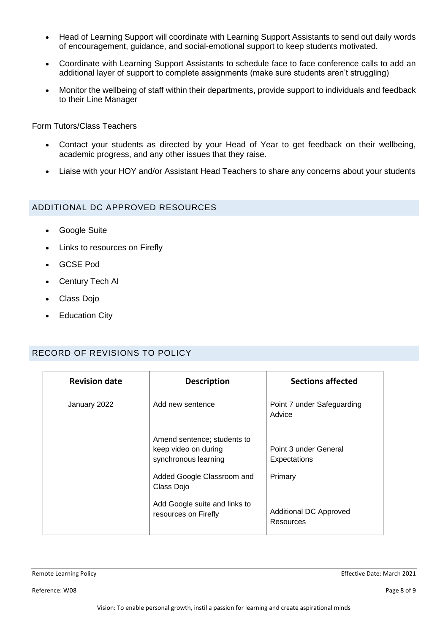- Head of Learning Support will coordinate with Learning Support Assistants to send out daily words of encouragement, guidance, and social-emotional support to keep students motivated.
- Coordinate with Learning Support Assistants to schedule face to face conference calls to add an additional layer of support to complete assignments (make sure students aren't struggling)
- Monitor the wellbeing of staff within their departments, provide support to individuals and feedback to their Line Manager

Form Tutors/Class Teachers

- Contact your students as directed by your Head of Year to get feedback on their wellbeing, academic progress, and any other issues that they raise.
- Liaise with your HOY and/or Assistant Head Teachers to share any concerns about your students

#### <span id="page-7-0"></span>ADDITIONAL DC APPROVED RESOURCES

- Google Suite
- Links to resources on Firefly
- GCSE Pod
- Century Tech AI
- Class Dojo
- **Education City**

#### <span id="page-7-1"></span>RECORD OF REVISIONS TO POLICY

| <b>Revision date</b> | <b>Description</b>                                                          | <b>Sections affected</b>                   |
|----------------------|-----------------------------------------------------------------------------|--------------------------------------------|
| January 2022         | Add new sentence                                                            | Point 7 under Safeguarding<br>Advice       |
|                      | Amend sentence; students to<br>keep video on during<br>synchronous learning | Point 3 under General<br>Expectations      |
|                      | Added Google Classroom and<br>Class Dojo                                    | Primary                                    |
|                      | Add Google suite and links to<br>resources on Firefly                       | <b>Additional DC Approved</b><br>Resources |